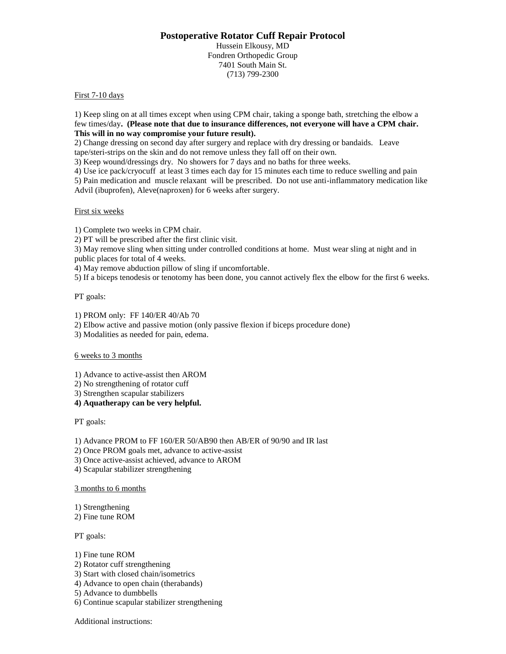# **Postoperative Rotator Cuff Repair Protocol**

Hussein Elkousy, MD Fondren Orthopedic Group 7401 South Main St. (713) 799-2300

### First 7-10 days

1) Keep sling on at all times except when using CPM chair, taking a sponge bath, stretching the elbow a few times/day**. (Please note that due to insurance differences, not everyone will have a CPM chair. This will in no way compromise your future result).**

2) Change dressing on second day after surgery and replace with dry dressing or bandaids. Leave tape/steri-strips on the skin and do not remove unless they fall off on their own.

3) Keep wound/dressings dry. No showers for 7 days and no baths for three weeks.

4) Use ice pack/cryocuff at least 3 times each day for 15 minutes each time to reduce swelling and pain 5) Pain medication and muscle relaxant will be prescribed. Do not use anti-inflammatory medication like

Advil (ibuprofen), Aleve(naproxen) for 6 weeks after surgery.

#### First six weeks

1) Complete two weeks in CPM chair.

2) PT will be prescribed after the first clinic visit.

3) May remove sling when sitting under controlled conditions at home. Must wear sling at night and in public places for total of 4 weeks.

4) May remove abduction pillow of sling if uncomfortable.

5) If a biceps tenodesis or tenotomy has been done, you cannot actively flex the elbow for the first 6 weeks.

PT goals:

1) PROM only: FF 140/ER 40/Ab 70

2) Elbow active and passive motion (only passive flexion if biceps procedure done)

3) Modalities as needed for pain, edema.

#### 6 weeks to 3 months

1) Advance to active-assist then AROM

2) No strengthening of rotator cuff

3) Strengthen scapular stabilizers

**4) Aquatherapy can be very helpful.**

PT goals:

1) Advance PROM to FF 160/ER 50/AB90 then AB/ER of 90/90 and IR last

2) Once PROM goals met, advance to active-assist

3) Once active-assist achieved, advance to AROM

4) Scapular stabilizer strengthening

3 months to 6 months

1) Strengthening

2) Fine tune ROM

PT goals:

1) Fine tune ROM

- 2) Rotator cuff strengthening
- 3) Start with closed chain/isometrics

4) Advance to open chain (therabands)

5) Advance to dumbbells

6) Continue scapular stabilizer strengthening

Additional instructions: